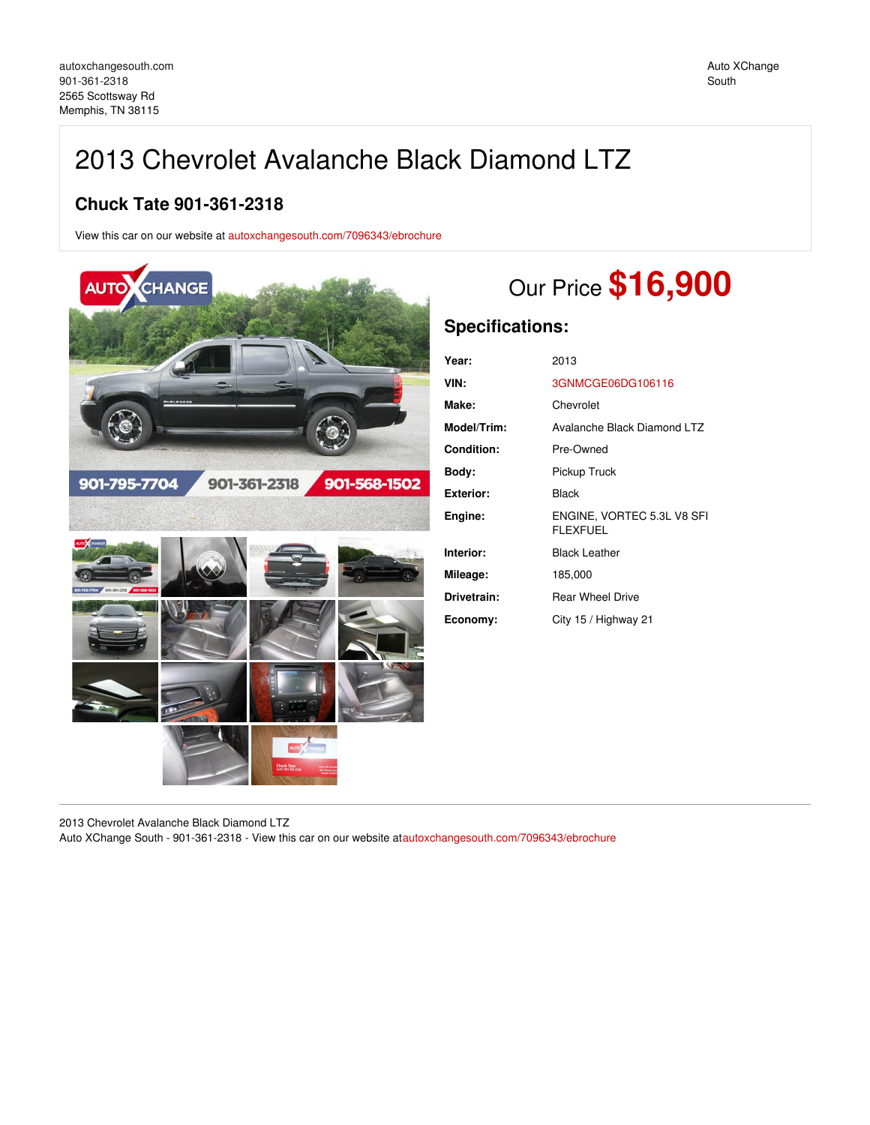## 2013 Chevrolet Avalanche Black Diamond LTZ

## **Chuck Tate 901-361-2318**

View this car on our website at [autoxchangesouth.com/7096343/ebrochure](https://autoxchangesouth.com/vehicle/7096343/2013-chevrolet-avalanche-black-diamond-ltz-memphis-tn-38115/7096343/ebrochure)



# Our Price **\$16,900**

## **Specifications:**

| Year:             | 2013                                          |
|-------------------|-----------------------------------------------|
| VIN:              | 3GNMCGE06DG106116                             |
| Make:             | Chevrolet                                     |
| Model/Trim:       | Avalanche Black Diamond LTZ                   |
| <b>Condition:</b> | Pre-Owned                                     |
| Body:             | Pickup Truck                                  |
| <b>Exterior:</b>  | Black                                         |
| Engine:           | ENGINE, VORTEC 5.3L V8 SFI<br><b>FLEXFUEL</b> |
| Interior:         | <b>Black Leather</b>                          |
| Mileage:          | 185,000                                       |
| Drivetrain:       | <b>Rear Wheel Drive</b>                       |
| Economy:          | City 15 / Highway 21                          |

2013 Chevrolet Avalanche Black Diamond LTZ

Auto XChange South - 901-361-2318 - View this car on our website at[autoxchangesouth.com/7096343/ebrochure](https://autoxchangesouth.com/vehicle/7096343/2013-chevrolet-avalanche-black-diamond-ltz-memphis-tn-38115/7096343/ebrochure)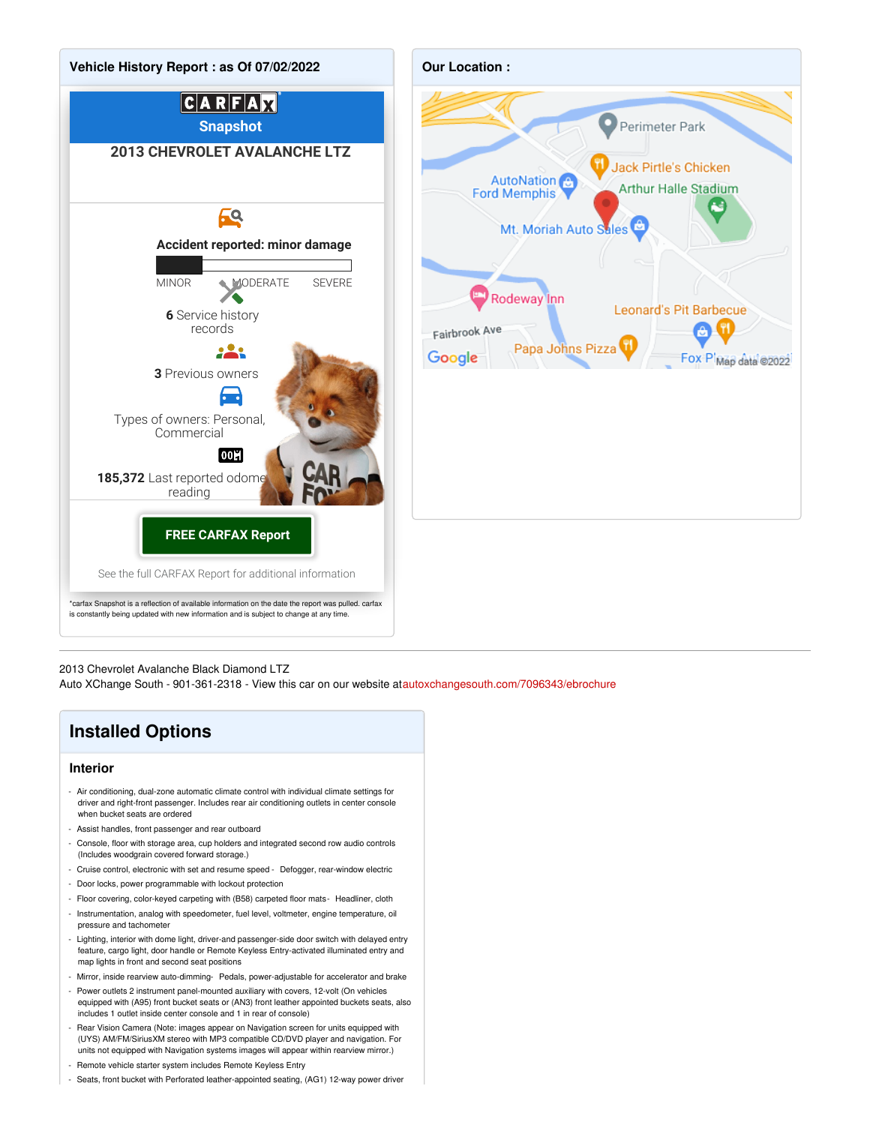



2013 Chevrolet Avalanche Black Diamond LTZ

Auto XChange South - 901-361-2318 - View this car on our website at[autoxchangesouth.com/7096343/ebrochure](https://autoxchangesouth.com/vehicle/7096343/2013-chevrolet-avalanche-black-diamond-ltz-memphis-tn-38115/7096343/ebrochure)

## **Installed Options**

#### **Interior**

- Air conditioning, dual-zone automatic climate control with individual climate settings for driver and right-front passenger. Includes rear air conditioning outlets in center console when bucket seats are ordered
- Assist handles, front passenger and rear outboard
- Console, floor with storage area, cup holders and integrated second row audio controls (Includes woodgrain covered forward storage.)
- Cruise control, electronic with set and resume speed Defogger, rear-window electric
- Door locks, power programmable with lockout protection
- Floor covering, color-keyed carpeting with (B58) carpeted floor mats- Headliner, cloth
- Instrumentation, analog with speedometer, fuel level, voltmeter, engine temperature, oil pressure and tachometer
- Lighting, interior with dome light, driver-and passenger-side door switch with delayed entry feature, cargo light, door handle or Remote Keyless Entry-activated illuminated entry and map lights in front and second seat positions
- Mirror, inside rearview auto-dimming- Pedals, power-adjustable for accelerator and brake
- Power outlets 2 instrument panel-mounted auxiliary with covers, 12-volt (On vehicles equipped with (A95) front bucket seats or (AN3) front leather appointed buckets seats, also includes 1 outlet inside center console and 1 in rear of console)
- Rear Vision Camera (Note: images appear on Navigation screen for units equipped with (UYS) AM/FM/SiriusXM stereo with MP3 compatible CD/DVD player and navigation. For units not equipped with Navigation systems images will appear within rearview mirror.)
- Remote vehicle starter system includes Remote Keyless Entry
- Seats, front bucket with Perforated leather-appointed seating, (AG1) 12-way power driver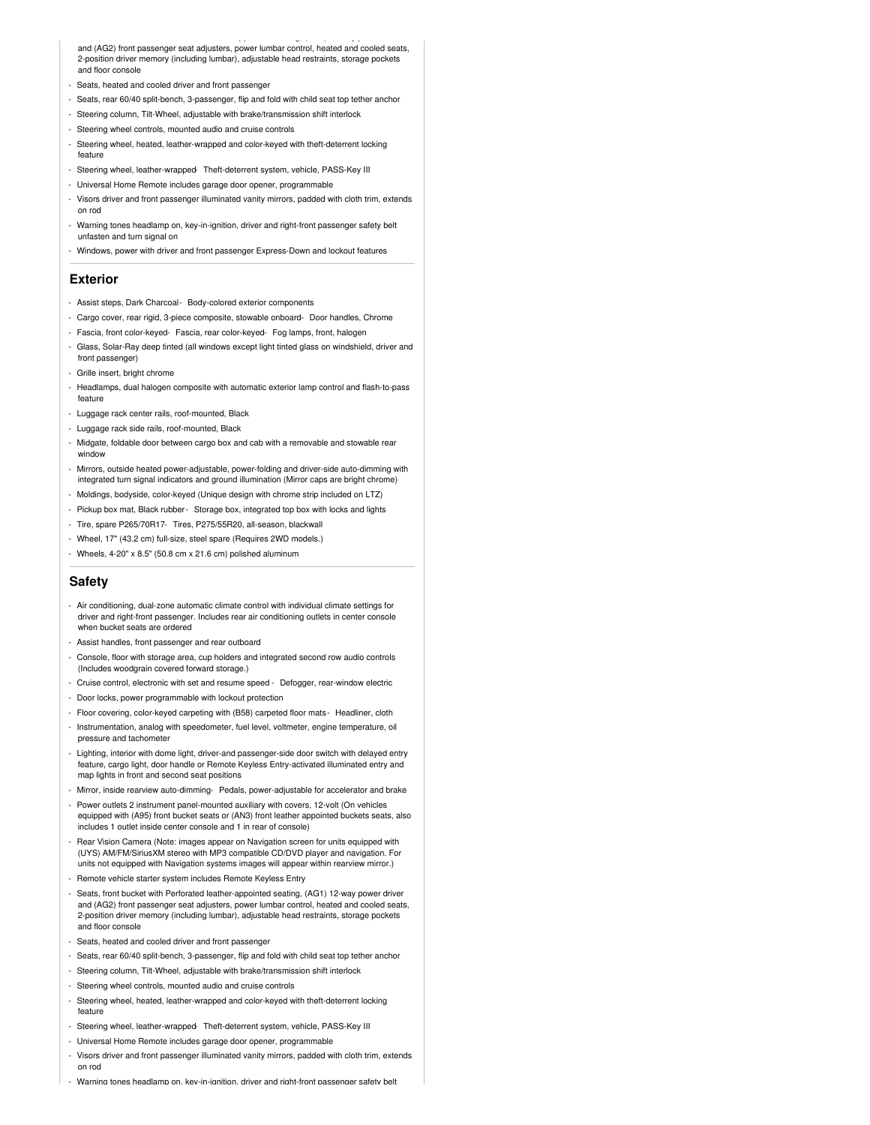- Seats, front bucket with Perforated leather-appointed seating, (AG1) 12-way power driver and (AG2) front passenger seat adjusters, power lumbar control, heated and cooled seats, 2-position driver memory (including lumbar), adjustable head restraints, storage pockets and floor console

- Seats, heated and cooled driver and front passenger
- Seats, rear 60/40 split-bench, 3-passenger, flip and fold with child seat top tether anchor
- Steering column, Tilt-Wheel, adjustable with brake/transmission shift interlock
- Steering wheel controls, mounted audio and cruise controls
- Steering wheel, heated, leather-wrapped and color-keyed with theft-deterrent locking feature
- Steering wheel, leather-wrapped- Theft-deterrent system, vehicle, PASS-Key III
- Universal Home Remote includes garage door opener, programmable
- Visors driver and front passenger illuminated vanity mirrors, padded with cloth trim, extends on rod
- Warning tones headlamp on, key-in-ignition, driver and right-front passenger safety belt unfasten and turn signal on
- Windows, power with driver and front passenger Express-Down and lockout features

#### **Exterior**

- Assist steps, Dark Charcoal- Body-colored exterior components
- Cargo cover, rear rigid, 3-piece composite, stowable onboard- Door handles, Chrome
- Fascia, front color-keyed- Fascia, rear color-keyed- Fog lamps, front, halogen
- Glass, Solar-Ray deep tinted (all windows except light tinted glass on windshield, driver and front passenger<sup>'</sup>
- Grille insert, bright chrome
- Headlamps, dual halogen composite with automatic exterior lamp control and flash-to-pass feature
- Luggage rack center rails, roof-mounted, Black
- Luggage rack side rails, roof-mounted, Black
- Midgate, foldable door between cargo box and cab with a removable and stowable rear window
- Mirrors, outside heated power-adjustable, power-folding and driver-side auto-dimming with integrated turn signal indicators and ground illumination (Mirror caps are bright chrome)
- Moldings, bodyside, color-keyed (Unique design with chrome strip included on LTZ)
- Pickup box mat, Black rubber- Storage box, integrated top box with locks and lights
- Tire, spare P265/70R17- Tires, P275/55R20, all-season, blackwall
- Wheel, 17" (43.2 cm) full-size, steel spare (Requires 2WD models.)
- Wheels, 4-20" x 8.5" (50.8 cm x 21.6 cm) polished aluminum

#### **Safety**

- Air conditioning, dual-zone automatic climate control with individual climate settings for driver and right-front passenger. Includes rear air conditioning outlets in center console when bucket seats are ordered
- Assist handles, front passenger and rear outboard
- Console, floor with storage area, cup holders and integrated second row audio controls (Includes woodgrain covered forward storage.)
- Cruise control, electronic with set and resume speed Defogger, rear-window electric
- Door locks, power programmable with lockout protection
- Floor covering, color-keyed carpeting with (B58) carpeted floor mats- Headliner, cloth
- Instrumentation, analog with speedometer, fuel level, voltmeter, engine temperature, oil pressure and tachomete
- Lighting, interior with dome light, driver-and passenger-side door switch with delayed entry feature, cargo light, door handle or Remote Keyless Entry-activated illuminated entry and map lights in front and second seat positions
- Mirror, inside rearview auto-dimming- Pedals, power-adjustable for accelerator and brake
- Power outlets 2 instrument panel-mounted auxiliary with covers, 12-volt (On vehicles equipped with (A95) front bucket seats or (AN3) front leather appointed buckets seats, also includes 1 outlet inside center console and 1 in rear of console)
- Rear Vision Camera (Note: images appear on Navigation screen for units equipped with (UYS) AM/FM/SiriusXM stereo with MP3 compatible CD/DVD player and navigation. For units not equipped with Navigation systems images will appear within rearview mirror.)
- Remote vehicle starter system includes Remote Keyless Entry
- Seats, front bucket with Perforated leather-appointed seating, (AG1) 12-way power driver and (AG2) front passenger seat adjusters, power lumbar control, heated and cooled seats, 2-position driver memory (including lumbar), adjustable head restraints, storage pockets and floor console
- Seats, heated and cooled driver and front passenger
- Seats, rear 60/40 split-bench, 3-passenger, flip and fold with child seat top tether anchor
- Steering column, Tilt-Wheel, adjustable with brake/transmission shift interlock
- Steering wheel controls, mounted audio and cruise controls
- Steering wheel, heated, leather-wrapped and color-keyed with theft-deterrent locking feature
- Steering wheel, leather-wrapped- Theft-deterrent system, vehicle, PASS-Key III
- Universal Home Remote includes garage door opener, programmable
- Visors driver and front passenger illuminated vanity mirrors, padded with cloth trim, extends on rod
- Warning tones headlamp on, key-in-ignition, driver and right-front passenger safety belt